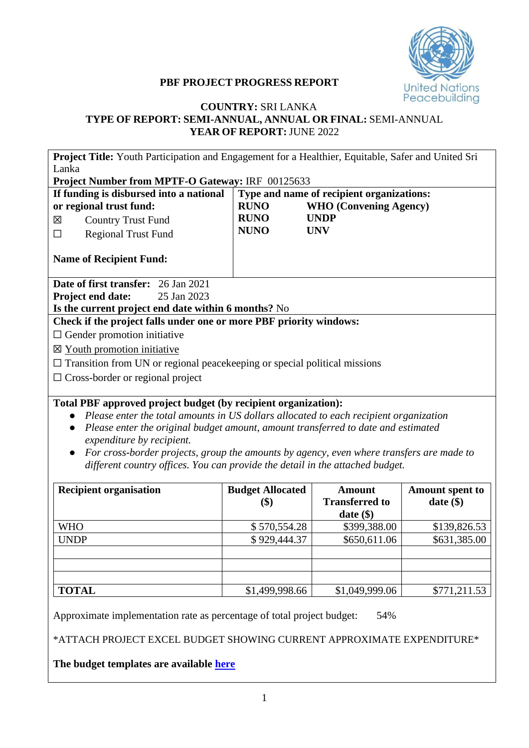

## **PBF PROJECT PROGRESS REPORT**

## **COUNTRY:** SRI LANKA **TYPE OF REPORT: SEMI-ANNUAL, ANNUAL OR FINAL:** SEMI-ANNUAL **YEAR OF REPORT:** JUNE 2022

| Project Title: Youth Participation and Engagement for a Healthier, Equitable, Safer and United Sri<br>Lanka<br>Project Number from MPTF-O Gateway: IRF 00125633                                                                                                                    |                                                                                                                                                                                                                                                                                                                                                                                                                           |                                                       |                                       |  |  |  |  |
|------------------------------------------------------------------------------------------------------------------------------------------------------------------------------------------------------------------------------------------------------------------------------------|---------------------------------------------------------------------------------------------------------------------------------------------------------------------------------------------------------------------------------------------------------------------------------------------------------------------------------------------------------------------------------------------------------------------------|-------------------------------------------------------|---------------------------------------|--|--|--|--|
| If funding is disbursed into a national<br>or regional trust fund:<br><b>Country Trust Fund</b><br>図<br><b>Regional Trust Fund</b><br>$\Box$                                                                                                                                       | Type and name of recipient organizations:<br><b>RUNO</b><br><b>WHO</b> (Convening Agency)<br><b>RUNO</b><br><b>UNDP</b><br><b>NUNO</b><br><b>UNV</b>                                                                                                                                                                                                                                                                      |                                                       |                                       |  |  |  |  |
| <b>Name of Recipient Fund:</b>                                                                                                                                                                                                                                                     |                                                                                                                                                                                                                                                                                                                                                                                                                           |                                                       |                                       |  |  |  |  |
| <b>Date of first transfer:</b> 26 Jan 2021<br>25 Jan 2023<br>Project end date:<br>Is the current project end date within 6 months? No                                                                                                                                              |                                                                                                                                                                                                                                                                                                                                                                                                                           |                                                       |                                       |  |  |  |  |
| Check if the project falls under one or more PBF priority windows:<br>$\Box$ Gender promotion initiative<br>$\boxtimes$ Youth promotion initiative<br>$\Box$ Transition from UN or regional peace keeping or special political missions<br>$\Box$ Cross-border or regional project |                                                                                                                                                                                                                                                                                                                                                                                                                           |                                                       |                                       |  |  |  |  |
| $\bullet$<br>expenditure by recipient.                                                                                                                                                                                                                                             | Total PBF approved project budget (by recipient organization):<br>Please enter the total amounts in US dollars allocated to each recipient organization<br>Please enter the original budget amount, amount transferred to date and estimated<br>For cross-border projects, group the amounts by agency, even where transfers are made to<br>different country offices. You can provide the detail in the attached budget. |                                                       |                                       |  |  |  |  |
| <b>Recipient organisation</b>                                                                                                                                                                                                                                                      | <b>Budget Allocated</b><br>\$)                                                                                                                                                                                                                                                                                                                                                                                            | <b>Amount</b><br><b>Transferred to</b><br>date $(\$)$ | <b>Amount spent to</b><br>$date$ (\$) |  |  |  |  |
| <b>WHO</b>                                                                                                                                                                                                                                                                         | \$570,554.28                                                                                                                                                                                                                                                                                                                                                                                                              | \$399,388.00                                          | \$139,826.53                          |  |  |  |  |
| <b>UNDP</b><br>\$929,444.37<br>\$650,611.06<br>\$631,385.00                                                                                                                                                                                                                        |                                                                                                                                                                                                                                                                                                                                                                                                                           |                                                       |                                       |  |  |  |  |
| <b>TOTAL</b><br>\$1,499,998.66<br>\$1,049,999.06<br>\$771,211.53                                                                                                                                                                                                                   |                                                                                                                                                                                                                                                                                                                                                                                                                           |                                                       |                                       |  |  |  |  |
| Approximate implementation rate as percentage of total project budget:                                                                                                                                                                                                             |                                                                                                                                                                                                                                                                                                                                                                                                                           | 54%                                                   |                                       |  |  |  |  |

\*ATTACH PROJECT EXCEL BUDGET SHOWING CURRENT APPROXIMATE EXPENDITURE\*

**The budget templates are available [here](https://www.un.org/peacebuilding/content/application-guidelines)**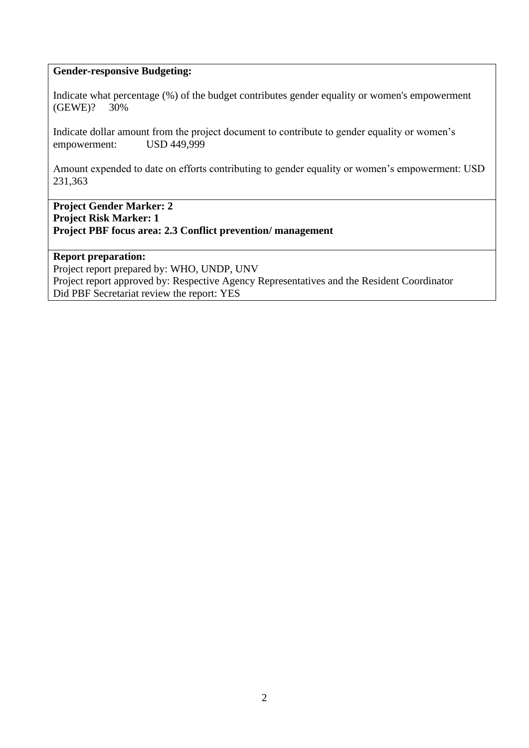### **Gender-responsive Budgeting:**

Indicate what percentage (%) of the budget contributes gender equality or women's empowerment (GEWE)? 30%

Indicate dollar amount from the project document to contribute to gender equality or women's empowerment: USD 449,999

Amount expended to date on efforts contributing to gender equality or women's empowerment: USD 231,363

**Project Gender Marker: 2 Project Risk Marker: 1 Project PBF focus area: 2.3 Conflict prevention/ management** 

## **Report preparation:**

Project report prepared by: WHO, UNDP, UNV Project report approved by: Respective Agency Representatives and the Resident Coordinator Did PBF Secretariat review the report: YES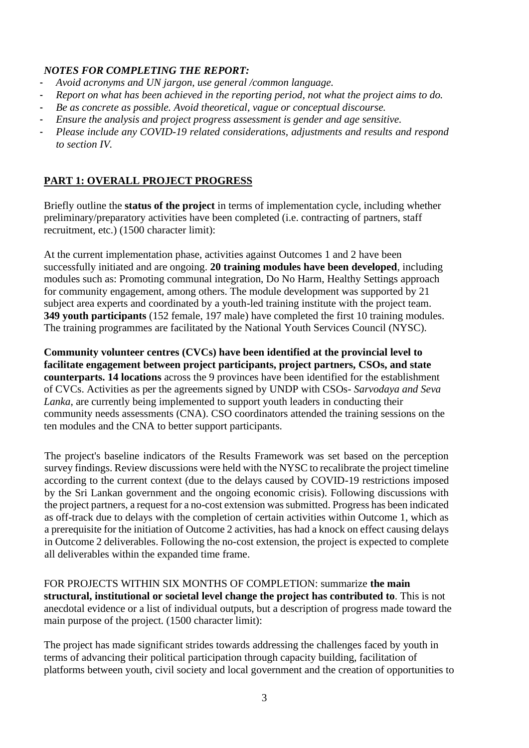## *NOTES FOR COMPLETING THE REPORT:*

- *Avoid acronyms and UN jargon, use general /common language.*
- *Report on what has been achieved in the reporting period, not what the project aims to do.*
- *Be as concrete as possible. Avoid theoretical, vague or conceptual discourse.*
- *Ensure the analysis and project progress assessment is gender and age sensitive.*
- *Please include any COVID-19 related considerations, adjustments and results and respond to section IV.*

# **PART 1: OVERALL PROJECT PROGRESS**

Briefly outline the **status of the project** in terms of implementation cycle, including whether preliminary/preparatory activities have been completed (i.e. contracting of partners, staff recruitment, etc.) (1500 character limit):

At the current implementation phase, activities against Outcomes 1 and 2 have been successfully initiated and are ongoing. **20 training modules have been developed**, including modules such as: Promoting communal integration, Do No Harm, Healthy Settings approach for community engagement, among others. The module development was supported by 21 subject area experts and coordinated by a youth-led training institute with the project team. **349 youth participants** (152 female, 197 male) have completed the first 10 training modules. The training programmes are facilitated by the National Youth Services Council (NYSC).

**Community volunteer centres (CVCs) have been identified at the provincial level to facilitate engagement between project participants, project partners, CSOs, and state counterparts. 14 locations** across the 9 provinces have been identified for the establishment of CVCs. Activities as per the agreements signed by UNDP with CSOs- *Sarvodaya and Seva Lanka*, are currently being implemented to support youth leaders in conducting their community needs assessments (CNA). CSO coordinators attended the training sessions on the ten modules and the CNA to better support participants.

The project's baseline indicators of the Results Framework was set based on the perception survey findings. Review discussions were held with the NYSC to recalibrate the project timeline according to the current context (due to the delays caused by COVID-19 restrictions imposed by the Sri Lankan government and the ongoing economic crisis). Following discussions with the project partners, a request for a no-cost extension was submitted. Progress has been indicated as off-track due to delays with the completion of certain activities within Outcome 1, which as a prerequisite for the initiation of Outcome 2 activities, has had a knock on effect causing delays in Outcome 2 deliverables. Following the no-cost extension, the project is expected to complete all deliverables within the expanded time frame.

FOR PROJECTS WITHIN SIX MONTHS OF COMPLETION: summarize **the main structural, institutional or societal level change the project has contributed to**. This is not anecdotal evidence or a list of individual outputs, but a description of progress made toward the main purpose of the project. (1500 character limit):

The project has made significant strides towards addressing the challenges faced by youth in terms of advancing their political participation through capacity building, facilitation of platforms between youth, civil society and local government and the creation of opportunities to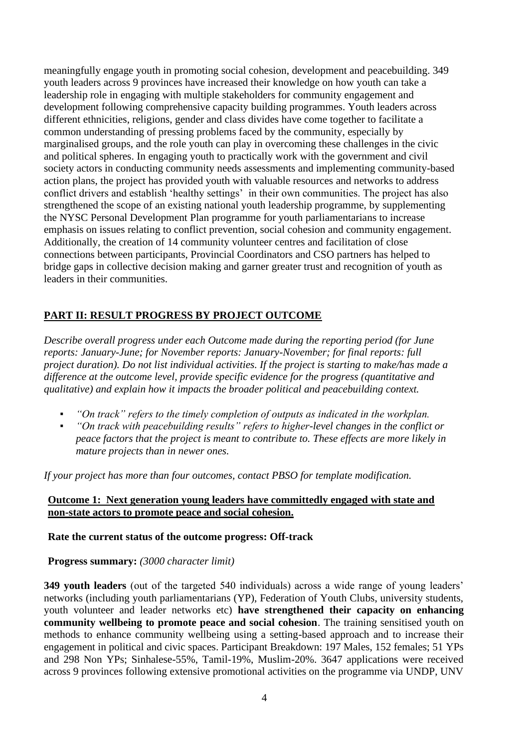meaningfully engage youth in promoting social cohesion, development and peacebuilding. 349 youth leaders across 9 provinces have increased their knowledge on how youth can take a leadership role in engaging with multiple stakeholders for community engagement and development following comprehensive capacity building programmes. Youth leaders across different ethnicities, religions, gender and class divides have come together to facilitate a common understanding of pressing problems faced by the community, especially by marginalised groups, and the role youth can play in overcoming these challenges in the civic and political spheres. In engaging youth to practically work with the government and civil society actors in conducting community needs assessments and implementing community-based action plans, the project has provided youth with valuable resources and networks to address conflict drivers and establish 'healthy settings' in their own communities. The project has also strengthened the scope of an existing national youth leadership programme, by supplementing the NYSC Personal Development Plan programme for youth parliamentarians to increase emphasis on issues relating to conflict prevention, social cohesion and community engagement. Additionally, the creation of 14 community volunteer centres and facilitation of close connections between participants, Provincial Coordinators and CSO partners has helped to bridge gaps in collective decision making and garner greater trust and recognition of youth as leaders in their communities.

# **PART II: RESULT PROGRESS BY PROJECT OUTCOME**

*Describe overall progress under each Outcome made during the reporting period (for June reports: January-June; for November reports: January-November; for final reports: full project duration). Do not list individual activities. If the project is starting to make/has made a difference at the outcome level, provide specific evidence for the progress (quantitative and qualitative) and explain how it impacts the broader political and peacebuilding context.* 

- "On track" refers to the timely completion of outputs as indicated in the workplan.
- *"On track with peacebuilding results" refers to higher-level changes in the conflict or peace factors that the project is meant to contribute to. These effects are more likely in mature projects than in newer ones.*

*If your project has more than four outcomes, contact PBSO for template modification.*

### **Outcome 1: Next generation young leaders have committedly engaged with state and non-state actors to promote peace and social cohesion.**

### **Rate the current status of the outcome progress: Off-track**

### **Progress summary:** *(3000 character limit)*

**349 youth leaders** (out of the targeted 540 individuals) across a wide range of young leaders' networks (including youth parliamentarians (YP), Federation of Youth Clubs, university students, youth volunteer and leader networks etc) **have strengthened their capacity on enhancing community wellbeing to promote peace and social cohesion**. The training sensitised youth on methods to enhance community wellbeing using a setting-based approach and to increase their engagement in political and civic spaces. Participant Breakdown: 197 Males, 152 females; 51 YPs and 298 Non YPs; Sinhalese-55%, Tamil-19%, Muslim-20%. 3647 applications were received across 9 provinces following extensive promotional activities on the programme via UNDP, UNV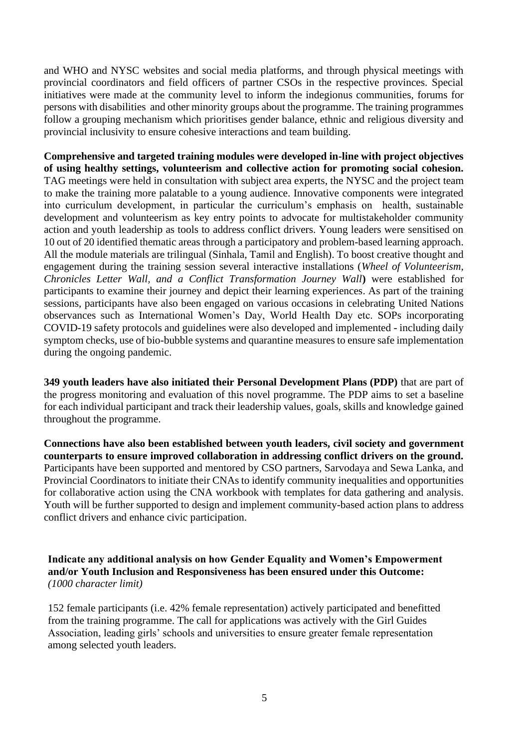and WHO and NYSC websites and social media platforms, and through physical meetings with provincial coordinators and field officers of partner CSOs in the respective provinces. Special initiatives were made at the community level to inform the indegionus communities, forums for persons with disabilities and other minority groups about the programme. The training programmes follow a grouping mechanism which prioritises gender balance, ethnic and religious diversity and provincial inclusivity to ensure cohesive interactions and team building.

**Comprehensive and targeted training modules were developed in-line with project objectives of using healthy settings, volunteerism and collective action for promoting social cohesion.** TAG meetings were held in consultation with subject area experts, the NYSC and the project team to make the training more palatable to a young audience. Innovative components were integrated into curriculum development, in particular the curriculum's emphasis on health, sustainable development and volunteerism as key entry points to advocate for multistakeholder community action and youth leadership as tools to address conflict drivers. Young leaders were sensitised on 10 out of 20 identified thematic areas through a participatory and problem-based learning approach. All the module materials are trilingual (Sinhala, Tamil and English). To boost creative thought and engagement during the training session several interactive installations (*Wheel of Volunteerism, Chronicles Letter Wall, and a Conflict Transformation Journey Wall***)** were established for participants to examine their journey and depict their learning experiences. As part of the training sessions, participants have also been engaged on various occasions in celebrating United Nations observances such as International Women's Day, World Health Day etc. SOPs incorporating COVID-19 safety protocols and guidelines were also developed and implemented - including daily symptom checks, use of bio-bubble systems and quarantine measures to ensure safe implementation during the ongoing pandemic.

**349 youth leaders have also initiated their Personal Development Plans (PDP)** that are part of the progress monitoring and evaluation of this novel programme. The PDP aims to set a baseline for each individual participant and track their leadership values, goals, skills and knowledge gained throughout the programme.

**Connections have also been established between youth leaders, civil society and government counterparts to ensure improved collaboration in addressing conflict drivers on the ground.**  Participants have been supported and mentored by CSO partners, Sarvodaya and Sewa Lanka, and Provincial Coordinators to initiate their CNAs to identify community inequalities and opportunities for collaborative action using the CNA workbook with templates for data gathering and analysis. Youth will be further supported to design and implement community-based action plans to address conflict drivers and enhance civic participation.

**Indicate any additional analysis on how Gender Equality and Women's Empowerment and/or Youth Inclusion and Responsiveness has been ensured under this Outcome:**  *(1000 character limit)*

152 female participants (i.e. 42% female representation) actively participated and benefitted from the training programme. The call for applications was actively with the Girl Guides Association, leading girls' schools and universities to ensure greater female representation among selected youth leaders.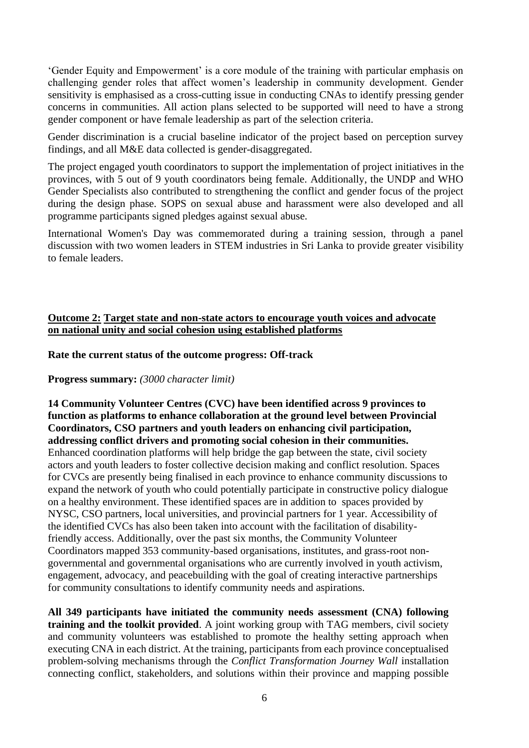'Gender Equity and Empowerment' is a core module of the training with particular emphasis on challenging gender roles that affect women's leadership in community development. Gender sensitivity is emphasised as a cross-cutting issue in conducting CNAs to identify pressing gender concerns in communities. All action plans selected to be supported will need to have a strong gender component or have female leadership as part of the selection criteria.

Gender discrimination is a crucial baseline indicator of the project based on perception survey findings, and all M&E data collected is gender-disaggregated.

The project engaged youth coordinators to support the implementation of project initiatives in the provinces, with 5 out of 9 youth coordinators being female. Additionally, the UNDP and WHO Gender Specialists also contributed to strengthening the conflict and gender focus of the project during the design phase. SOPS on sexual abuse and harassment were also developed and all programme participants signed pledges against sexual abuse.

International Women's Day was commemorated during a training session, through a panel discussion with two women leaders in STEM industries in Sri Lanka to provide greater visibility to female leaders.

## **Outcome 2: Target state and non-state actors to encourage youth voices and advocate on national unity and social cohesion using established platforms**

### **Rate the current status of the outcome progress: Off-track**

**Progress summary:** *(3000 character limit)*

# **14 Community Volunteer Centres (CVC) have been identified across 9 provinces to function as platforms to enhance collaboration at the ground level between Provincial Coordinators, CSO partners and youth leaders on enhancing civil participation, addressing conflict drivers and promoting social cohesion in their communities.**

Enhanced coordination platforms will help bridge the gap between the state, civil society actors and youth leaders to foster collective decision making and conflict resolution. Spaces for CVCs are presently being finalised in each province to enhance community discussions to expand the network of youth who could potentially participate in constructive policy dialogue on a healthy environment. These identified spaces are in addition to spaces provided by NYSC, CSO partners, local universities, and provincial partners for 1 year. Accessibility of the identified CVCs has also been taken into account with the facilitation of disabilityfriendly access. Additionally, over the past six months, the Community Volunteer Coordinators mapped 353 community-based organisations, institutes, and grass-root nongovernmental and governmental organisations who are currently involved in youth activism, engagement, advocacy, and peacebuilding with the goal of creating interactive partnerships for community consultations to identify community needs and aspirations.

**All 349 participants have initiated the community needs assessment (CNA) following training and the toolkit provided**. A joint working group with TAG members, civil society and community volunteers was established to promote the healthy setting approach when executing CNA in each district. At the training, participants from each province conceptualised problem-solving mechanisms through the *Conflict Transformation Journey Wall* installation connecting conflict, stakeholders, and solutions within their province and mapping possible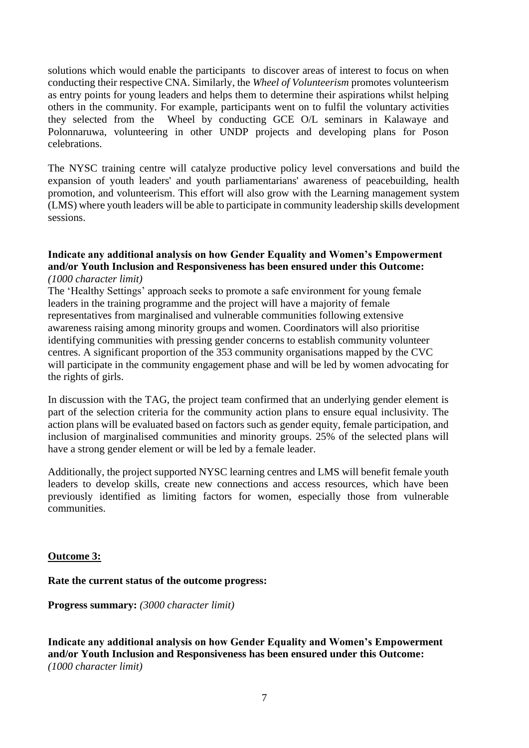solutions which would enable the participants to discover areas of interest to focus on when conducting their respective CNA. Similarly, the *Wheel of Volunteerism* promotes volunteerism as entry points for young leaders and helps them to determine their aspirations whilst helping others in the community. For example, participants went on to fulfil the voluntary activities they selected from the Wheel by conducting GCE O/L seminars in Kalawaye and Polonnaruwa, volunteering in other UNDP projects and developing plans for Poson celebrations.

The NYSC training centre will catalyze productive policy level conversations and build the expansion of youth leaders' and youth parliamentarians' awareness of peacebuilding, health promotion, and volunteerism. This effort will also grow with the Learning management system (LMS) where youth leaders will be able to participate in community leadership skills development sessions.

#### **Indicate any additional analysis on how Gender Equality and Women's Empowerment and/or Youth Inclusion and Responsiveness has been ensured under this Outcome:**  *(1000 character limit)*

The 'Healthy Settings' approach seeks to promote a safe environment for young female leaders in the training programme and the project will have a majority of female representatives from marginalised and vulnerable communities following extensive awareness raising among minority groups and women. Coordinators will also prioritise identifying communities with pressing gender concerns to establish community volunteer centres. A significant proportion of the 353 community organisations mapped by the CVC will participate in the community engagement phase and will be led by women advocating for the rights of girls.

In discussion with the TAG, the project team confirmed that an underlying gender element is part of the selection criteria for the community action plans to ensure equal inclusivity. The action plans will be evaluated based on factors such as gender equity, female participation, and inclusion of marginalised communities and minority groups. 25% of the selected plans will have a strong gender element or will be led by a female leader.

Additionally, the project supported NYSC learning centres and LMS will benefit female youth leaders to develop skills, create new connections and access resources, which have been previously identified as limiting factors for women, especially those from vulnerable communities.

### **Outcome 3:**

### **Rate the current status of the outcome progress:**

**Progress summary:** *(3000 character limit)*

**Indicate any additional analysis on how Gender Equality and Women's Empowerment and/or Youth Inclusion and Responsiveness has been ensured under this Outcome:**  *(1000 character limit)*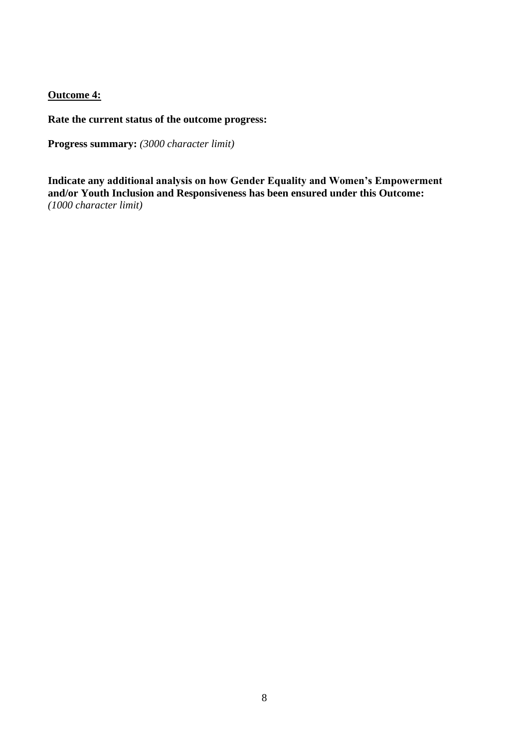## **Outcome 4:**

**Rate the current status of the outcome progress:** 

**Progress summary:** *(3000 character limit)*

**Indicate any additional analysis on how Gender Equality and Women's Empowerment and/or Youth Inclusion and Responsiveness has been ensured under this Outcome:**  *(1000 character limit)*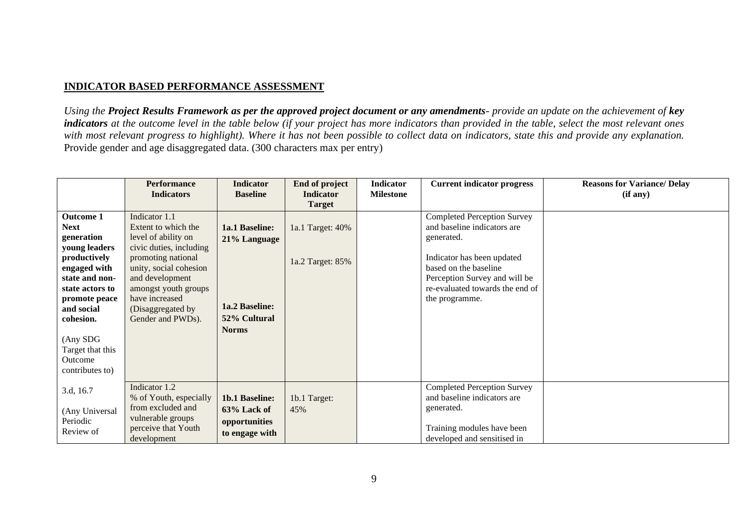## **INDICATOR BASED PERFORMANCE ASSESSMENT**

*Using the Project Results Framework as per the approved project document or any amendments- provide an update on the achievement of key indicators* at the outcome level in the table below (if your project has more indicators than provided in the table, select the most relevant ones *with most relevant progress to highlight). Where it has not been possible to collect data on indicators, state this and provide any explanation.* Provide gender and age disaggregated data. (300 characters max per entry)

|                                                                                                                                                                                                                                               | <b>Performance</b>                                                                                                                                                                                                                            | <b>Indicator</b>                                                                 | End of project                       | Indicator        | <b>Current indicator progress</b>                                                                                                                                                                                            | <b>Reasons for Variance/Delay</b> |
|-----------------------------------------------------------------------------------------------------------------------------------------------------------------------------------------------------------------------------------------------|-----------------------------------------------------------------------------------------------------------------------------------------------------------------------------------------------------------------------------------------------|----------------------------------------------------------------------------------|--------------------------------------|------------------|------------------------------------------------------------------------------------------------------------------------------------------------------------------------------------------------------------------------------|-----------------------------------|
|                                                                                                                                                                                                                                               | <b>Indicators</b>                                                                                                                                                                                                                             | <b>Baseline</b>                                                                  | <b>Indicator</b><br><b>Target</b>    | <b>Milestone</b> |                                                                                                                                                                                                                              | (if any)                          |
| <b>Outcome 1</b><br><b>Next</b><br>generation<br>young leaders<br>productively<br>engaged with<br>state and non-<br>state actors to<br>promote peace<br>and social<br>cohesion.<br>(Any SDG<br>Target that this<br>Outcome<br>contributes to) | Indicator 1.1<br>Extent to which the<br>level of ability on<br>civic duties, including<br>promoting national<br>unity, social cohesion<br>and development<br>amongst youth groups<br>have increased<br>(Disaggregated by<br>Gender and PWDs). | 1a.1 Baseline:<br>21% Language<br>1a.2 Baseline:<br>52% Cultural<br><b>Norms</b> | 1a.1 Target: 40%<br>1a.2 Target: 85% |                  | <b>Completed Perception Survey</b><br>and baseline indicators are<br>generated.<br>Indicator has been updated<br>based on the baseline<br>Perception Survey and will be<br>re-evaluated towards the end of<br>the programme. |                                   |
| 3.d, 16.7<br>(Any Universal<br>Periodic<br>Review of                                                                                                                                                                                          | Indicator 1.2<br>% of Youth, especially<br>from excluded and<br>vulnerable groups<br>perceive that Youth<br>development                                                                                                                       | <b>1b.1 Baseline:</b><br>63% Lack of<br>opportunities<br>to engage with          | 1b.1 Target:<br>45%                  |                  | <b>Completed Perception Survey</b><br>and baseline indicators are<br>generated.<br>Training modules have been<br>developed and sensitised in                                                                                 |                                   |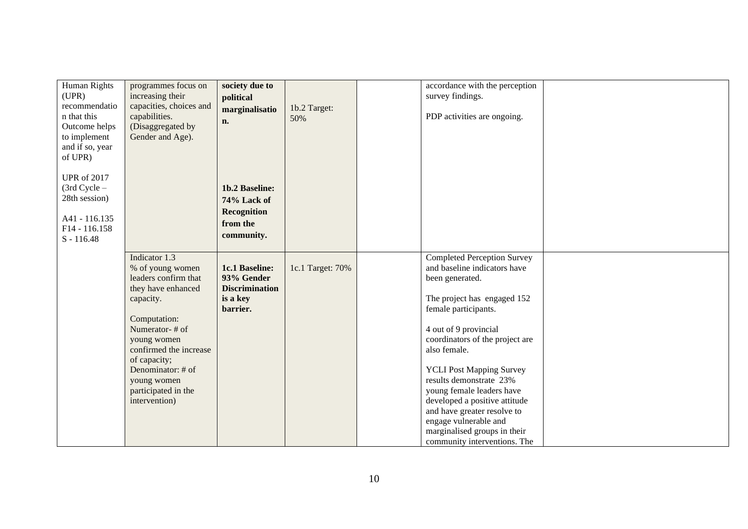| <b>Human Rights</b> | programmes focus on     | society due to        |                  | accordance with the perception     |  |
|---------------------|-------------------------|-----------------------|------------------|------------------------------------|--|
| (UPR)               | increasing their        | political             |                  | survey findings.                   |  |
| recommendatio       | capacities, choices and | marginalisatio        | 1b.2 Target:     |                                    |  |
| n that this         | capabilities.           |                       | 50%              | PDP activities are ongoing.        |  |
| Outcome helps       | (Disaggregated by       | n.                    |                  |                                    |  |
|                     |                         |                       |                  |                                    |  |
| to implement        | Gender and Age).        |                       |                  |                                    |  |
| and if so, year     |                         |                       |                  |                                    |  |
| of UPR)             |                         |                       |                  |                                    |  |
|                     |                         |                       |                  |                                    |  |
| <b>UPR</b> of 2017  |                         |                       |                  |                                    |  |
| $(3rd$ Cycle $-$    |                         | 1b.2 Baseline:        |                  |                                    |  |
| 28th session)       |                         | 74% Lack of           |                  |                                    |  |
|                     |                         |                       |                  |                                    |  |
| A41 - 116.135       |                         | <b>Recognition</b>    |                  |                                    |  |
| F14 - 116.158       |                         | from the              |                  |                                    |  |
| $S - 116.48$        |                         | community.            |                  |                                    |  |
|                     |                         |                       |                  |                                    |  |
|                     | Indicator 1.3           |                       |                  | <b>Completed Perception Survey</b> |  |
|                     | % of young women        | 1c.1 Baseline:        | 1c.1 Target: 70% | and baseline indicators have       |  |
|                     | leaders confirm that    | 93% Gender            |                  |                                    |  |
|                     |                         |                       |                  | been generated.                    |  |
|                     | they have enhanced      | <b>Discrimination</b> |                  |                                    |  |
|                     | capacity.               | is a key              |                  | The project has engaged 152        |  |
|                     |                         | barrier.              |                  | female participants.               |  |
|                     | Computation:            |                       |                  |                                    |  |
|                     | Numerator-# of          |                       |                  | 4 out of 9 provincial              |  |
|                     | young women             |                       |                  | coordinators of the project are    |  |
|                     | confirmed the increase  |                       |                  | also female.                       |  |
|                     | of capacity;            |                       |                  |                                    |  |
|                     | Denominator: # of       |                       |                  | <b>YCLI Post Mapping Survey</b>    |  |
|                     | young women             |                       |                  | results demonstrate 23%            |  |
|                     | participated in the     |                       |                  | young female leaders have          |  |
|                     | intervention)           |                       |                  |                                    |  |
|                     |                         |                       |                  | developed a positive attitude      |  |
|                     |                         |                       |                  | and have greater resolve to        |  |
|                     |                         |                       |                  | engage vulnerable and              |  |
|                     |                         |                       |                  | marginalised groups in their       |  |
|                     |                         |                       |                  | community interventions. The       |  |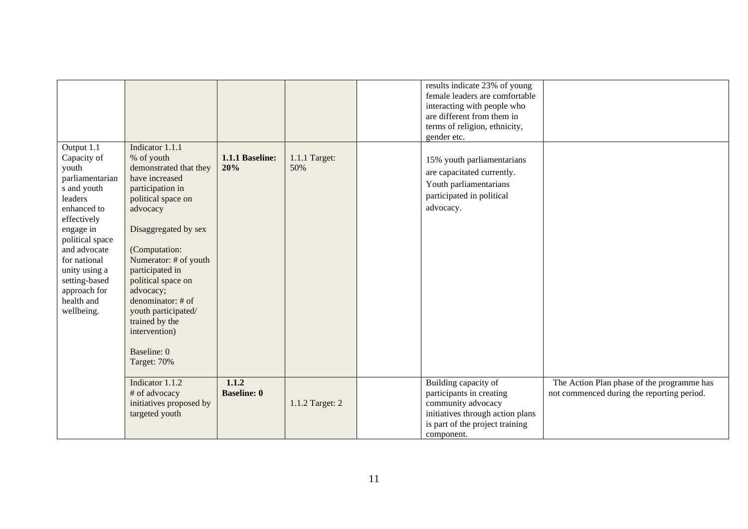|                                                                                                                                                                                                                                                             |                                                                                                                                                                                                                                                                                                                                                                      |                             |                      | results indicate 23% of young<br>female leaders are comfortable<br>interacting with people who<br>are different from them in<br>terms of religion, ethnicity,<br>gender etc. |                                                                                          |
|-------------------------------------------------------------------------------------------------------------------------------------------------------------------------------------------------------------------------------------------------------------|----------------------------------------------------------------------------------------------------------------------------------------------------------------------------------------------------------------------------------------------------------------------------------------------------------------------------------------------------------------------|-----------------------------|----------------------|------------------------------------------------------------------------------------------------------------------------------------------------------------------------------|------------------------------------------------------------------------------------------|
| Output 1.1<br>Capacity of<br>youth<br>parliamentarian<br>s and youth<br>leaders<br>enhanced to<br>effectively<br>engage in<br>political space<br>and advocate<br>for national<br>unity using a<br>setting-based<br>approach for<br>health and<br>wellbeing. | Indicator 1.1.1<br>% of youth<br>demonstrated that they<br>have increased<br>participation in<br>political space on<br>advocacy<br>Disaggregated by sex<br>(Computation:<br>Numerator: # of youth<br>participated in<br>political space on<br>advocacy;<br>denominator: # of<br>youth participated/<br>trained by the<br>intervention)<br>Baseline: 0<br>Target: 70% | 1.1.1 Baseline:<br>20%      | 1.1.1 Target:<br>50% | 15% youth parliamentarians<br>are capacitated currently.<br>Youth parliamentarians<br>participated in political<br>advocacy.                                                 |                                                                                          |
|                                                                                                                                                                                                                                                             | Indicator 1.1.2<br># of advocacy<br>initiatives proposed by<br>targeted youth                                                                                                                                                                                                                                                                                        | 1.1.2<br><b>Baseline: 0</b> | 1.1.2 Target: 2      | Building capacity of<br>participants in creating<br>community advocacy<br>initiatives through action plans<br>is part of the project training<br>component.                  | The Action Plan phase of the programme has<br>not commenced during the reporting period. |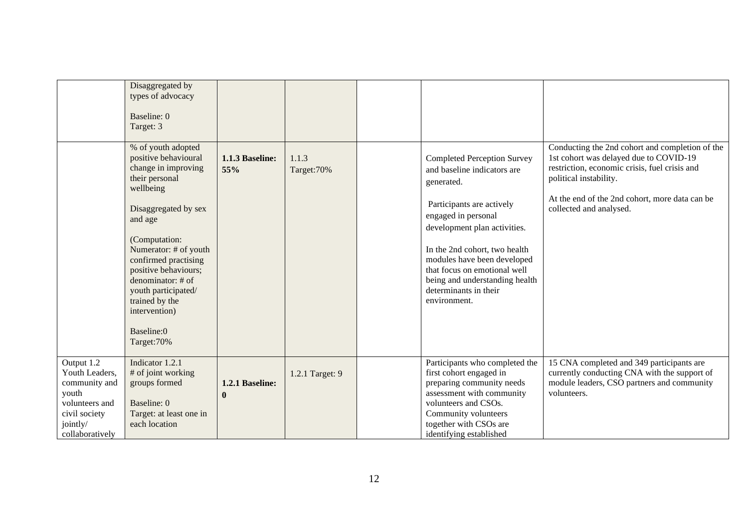|                                                                                                                          | Disaggregated by<br>types of advocacy<br>Baseline: 0<br>Target: 3                                                                                                                                                                                                                                                                         |                             |                      |                                                                                                                                                                                                                                                                                                                                                |                                                                                                                                                                                                                                                   |
|--------------------------------------------------------------------------------------------------------------------------|-------------------------------------------------------------------------------------------------------------------------------------------------------------------------------------------------------------------------------------------------------------------------------------------------------------------------------------------|-----------------------------|----------------------|------------------------------------------------------------------------------------------------------------------------------------------------------------------------------------------------------------------------------------------------------------------------------------------------------------------------------------------------|---------------------------------------------------------------------------------------------------------------------------------------------------------------------------------------------------------------------------------------------------|
|                                                                                                                          | % of youth adopted<br>positive behavioural<br>change in improving<br>their personal<br>wellbeing<br>Disaggregated by sex<br>and age<br>(Computation:<br>Numerator: # of youth<br>confirmed practising<br>positive behaviours;<br>denominator: # of<br>youth participated/<br>trained by the<br>intervention)<br>Baseline:0<br>Target: 70% | 1.1.3 Baseline:<br>55%      | 1.1.3<br>Target: 70% | <b>Completed Perception Survey</b><br>and baseline indicators are<br>generated.<br>Participants are actively<br>engaged in personal<br>development plan activities.<br>In the 2nd cohort, two health<br>modules have been developed<br>that focus on emotional well<br>being and understanding health<br>determinants in their<br>environment. | Conducting the 2nd cohort and completion of the<br>1st cohort was delayed due to COVID-19<br>restriction, economic crisis, fuel crisis and<br>political instability.<br>At the end of the 2nd cohort, more data can be<br>collected and analysed. |
| Output 1.2<br>Youth Leaders,<br>community and<br>youth<br>volunteers and<br>civil society<br>jointly/<br>collaboratively | Indicator 1.2.1<br># of joint working<br>groups formed<br>Baseline: 0<br>Target: at least one in<br>each location                                                                                                                                                                                                                         | 1.2.1 Baseline:<br>$\bf{0}$ | 1.2.1 Target: 9      | Participants who completed the<br>first cohort engaged in<br>preparing community needs<br>assessment with community<br>volunteers and CSOs.<br>Community volunteers<br>together with CSOs are<br>identifying established                                                                                                                       | 15 CNA completed and 349 participants are<br>currently conducting CNA with the support of<br>module leaders, CSO partners and community<br>volunteers.                                                                                            |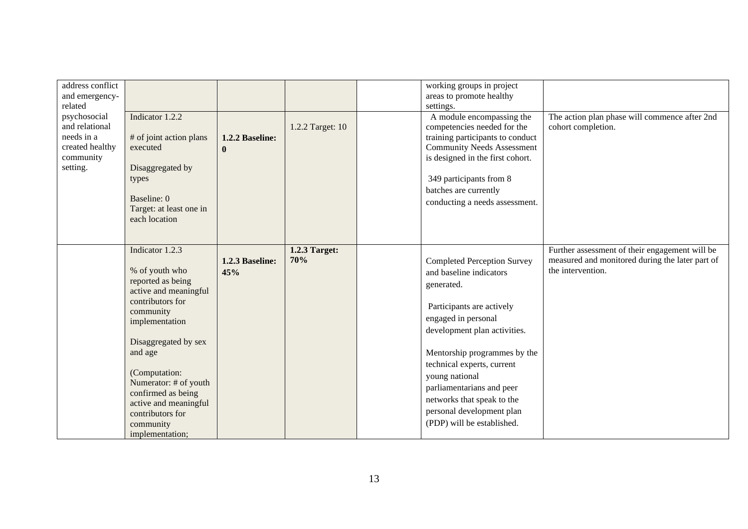| address conflict<br>and emergency-<br>related<br>psychosocial<br>and relational<br>needs in a<br>created healthy<br>community<br>setting. | Indicator 1.2.2<br># of joint action plans<br>executed<br>Disaggregated by<br>types<br>Baseline: 0<br>Target: at least one in<br>each location                                                                                                                                                                     | 1.2.2 Baseline:<br>$\mathbf{0}$ | 1.2.2 Target: 10     | working groups in project<br>areas to promote healthy<br>settings.<br>A module encompassing the<br>competencies needed for the<br>training participants to conduct<br><b>Community Needs Assessment</b><br>is designed in the first cohort.<br>349 participants from 8<br>batches are currently<br>conducting a needs assessment.                                     | The action plan phase will commence after 2nd<br>cohort completion.                                                    |
|-------------------------------------------------------------------------------------------------------------------------------------------|--------------------------------------------------------------------------------------------------------------------------------------------------------------------------------------------------------------------------------------------------------------------------------------------------------------------|---------------------------------|----------------------|-----------------------------------------------------------------------------------------------------------------------------------------------------------------------------------------------------------------------------------------------------------------------------------------------------------------------------------------------------------------------|------------------------------------------------------------------------------------------------------------------------|
|                                                                                                                                           | Indicator 1.2.3<br>% of youth who<br>reported as being<br>active and meaningful<br>contributors for<br>community<br>implementation<br>Disaggregated by sex<br>and age<br>(Computation:<br>Numerator: # of youth<br>confirmed as being<br>active and meaningful<br>contributors for<br>community<br>implementation; | 1.2.3 Baseline:<br>45%          | 1.2.3 Target:<br>70% | <b>Completed Perception Survey</b><br>and baseline indicators<br>generated.<br>Participants are actively<br>engaged in personal<br>development plan activities.<br>Mentorship programmes by the<br>technical experts, current<br>young national<br>parliamentarians and peer<br>networks that speak to the<br>personal development plan<br>(PDP) will be established. | Further assessment of their engagement will be<br>measured and monitored during the later part of<br>the intervention. |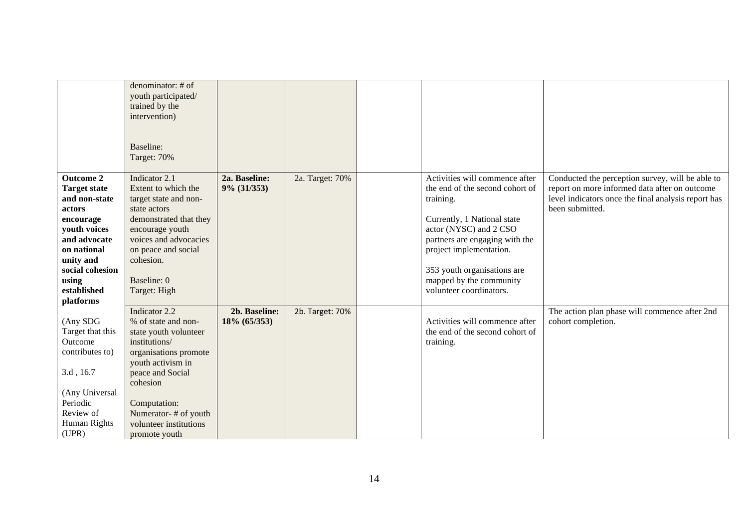|                     | denominator: # of      |               |                 |                                 |                                                     |
|---------------------|------------------------|---------------|-----------------|---------------------------------|-----------------------------------------------------|
|                     | youth participated/    |               |                 |                                 |                                                     |
|                     | trained by the         |               |                 |                                 |                                                     |
|                     | intervention)          |               |                 |                                 |                                                     |
|                     |                        |               |                 |                                 |                                                     |
|                     |                        |               |                 |                                 |                                                     |
|                     | Baseline:              |               |                 |                                 |                                                     |
|                     | Target: 70%            |               |                 |                                 |                                                     |
|                     |                        |               |                 |                                 |                                                     |
| <b>Outcome 2</b>    | Indicator 2.1          | 2a. Baseline: | 2a. Target: 70% | Activities will commence after  | Conducted the perception survey, will be able to    |
| <b>Target state</b> | Extent to which the    | 9% (31/353)   |                 | the end of the second cohort of | report on more informed data after on outcome       |
| and non-state       | target state and non-  |               |                 | training.                       | level indicators once the final analysis report has |
| actors              | state actors           |               |                 |                                 | been submitted.                                     |
| encourage           | demonstrated that they |               |                 | Currently, 1 National state     |                                                     |
| youth voices        | encourage youth        |               |                 | actor (NYSC) and 2 CSO          |                                                     |
| and advocate        | voices and advocacies  |               |                 | partners are engaging with the  |                                                     |
| on national         | on peace and social    |               |                 | project implementation.         |                                                     |
| unity and           | cohesion.              |               |                 |                                 |                                                     |
| social cohesion     |                        |               |                 | 353 youth organisations are     |                                                     |
| using               | Baseline: 0            |               |                 | mapped by the community         |                                                     |
| established         | Target: High           |               |                 | volunteer coordinators.         |                                                     |
| platforms           |                        |               |                 |                                 |                                                     |
|                     | Indicator 2.2          | 2b. Baseline: | 2b. Target: 70% |                                 | The action plan phase will commence after 2nd       |
| (Any SDG            | % of state and non-    | 18% (65/353)  |                 | Activities will commence after  | cohort completion.                                  |
| Target that this    | state youth volunteer  |               |                 | the end of the second cohort of |                                                     |
| Outcome             | institutions/          |               |                 | training.                       |                                                     |
| contributes to)     | organisations promote  |               |                 |                                 |                                                     |
|                     | youth activism in      |               |                 |                                 |                                                     |
| 3.d, 16.7           | peace and Social       |               |                 |                                 |                                                     |
|                     | cohesion               |               |                 |                                 |                                                     |
| (Any Universal      |                        |               |                 |                                 |                                                     |
| Periodic            | Computation:           |               |                 |                                 |                                                     |
| Review of           | Numerator-# of youth   |               |                 |                                 |                                                     |
| Human Rights        | volunteer institutions |               |                 |                                 |                                                     |
| (UPR)               | promote youth          |               |                 |                                 |                                                     |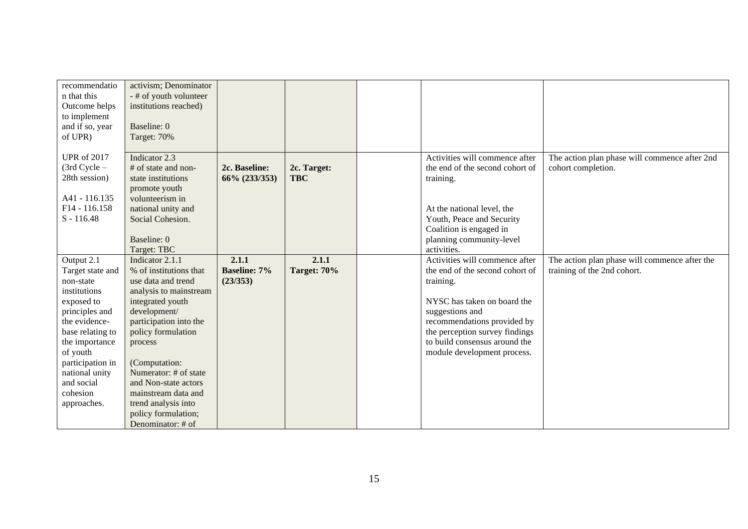| recommendatio      | activism; Denominator  |                     |             |                                 |                                               |
|--------------------|------------------------|---------------------|-------------|---------------------------------|-----------------------------------------------|
| n that this        | - # of youth volunteer |                     |             |                                 |                                               |
| Outcome helps      | institutions reached)  |                     |             |                                 |                                               |
| to implement       |                        |                     |             |                                 |                                               |
| and if so, year    | Baseline: 0            |                     |             |                                 |                                               |
| of UPR)            | Target: 70%            |                     |             |                                 |                                               |
|                    |                        |                     |             |                                 |                                               |
| <b>UPR</b> of 2017 | Indicator 2.3          |                     |             | Activities will commence after  | The action plan phase will commence after 2nd |
| $(3rd$ Cycle $-$   | # of state and non-    | 2c. Baseline:       | 2c. Target: | the end of the second cohort of | cohort completion.                            |
| 28th session)      | state institutions     | 66% (233/353)       | <b>TBC</b>  | training.                       |                                               |
|                    | promote youth          |                     |             |                                 |                                               |
| A41 - 116.135      | volunteerism in        |                     |             |                                 |                                               |
| F14 - 116.158      | national unity and     |                     |             | At the national level, the      |                                               |
| $S - 116.48$       | Social Cohesion.       |                     |             | Youth, Peace and Security       |                                               |
|                    |                        |                     |             | Coalition is engaged in         |                                               |
|                    | Baseline: 0            |                     |             | planning community-level        |                                               |
|                    | Target: TBC            |                     |             | activities.                     |                                               |
| Output 2.1         | Indicator 2.1.1        | 2.1.1               | 2.1.1       | Activities will commence after  | The action plan phase will commence after the |
| Target state and   | % of institutions that | <b>Baseline: 7%</b> | Target: 70% | the end of the second cohort of | training of the 2nd cohort.                   |
| non-state          | use data and trend     | (23/353)            |             | training.                       |                                               |
| institutions       | analysis to mainstream |                     |             |                                 |                                               |
| exposed to         | integrated youth       |                     |             | NYSC has taken on board the     |                                               |
| principles and     | development/           |                     |             | suggestions and                 |                                               |
| the evidence-      | participation into the |                     |             | recommendations provided by     |                                               |
| base relating to   | policy formulation     |                     |             | the perception survey findings  |                                               |
| the importance     | process                |                     |             | to build consensus around the   |                                               |
| of youth           |                        |                     |             | module development process.     |                                               |
| participation in   | (Computation:          |                     |             |                                 |                                               |
| national unity     | Numerator: # of state  |                     |             |                                 |                                               |
| and social         | and Non-state actors   |                     |             |                                 |                                               |
| cohesion           | mainstream data and    |                     |             |                                 |                                               |
| approaches.        | trend analysis into    |                     |             |                                 |                                               |
|                    | policy formulation;    |                     |             |                                 |                                               |
|                    | Denominator: # of      |                     |             |                                 |                                               |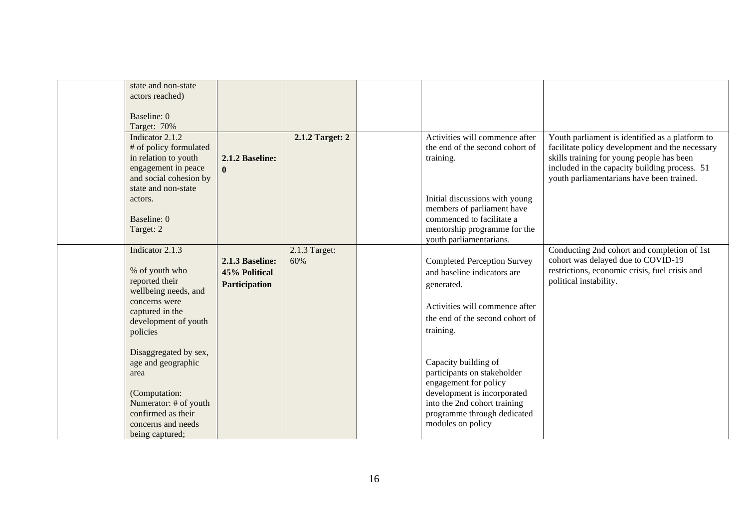| state and non-state<br>actors reached) |                 |                 |                                    |                                                                                      |
|----------------------------------------|-----------------|-----------------|------------------------------------|--------------------------------------------------------------------------------------|
|                                        |                 |                 |                                    |                                                                                      |
| Baseline: 0                            |                 |                 |                                    |                                                                                      |
| Target: 70%                            |                 |                 |                                    |                                                                                      |
| Indicator 2.1.2                        |                 | 2.1.2 Target: 2 | Activities will commence after     | Youth parliament is identified as a platform to                                      |
| # of policy formulated                 |                 |                 | the end of the second cohort of    | facilitate policy development and the necessary                                      |
| in relation to youth                   | 2.1.2 Baseline: |                 | training.                          | skills training for young people has been                                            |
| engagement in peace                    | $\mathbf{0}$    |                 |                                    | included in the capacity building process. 51                                        |
| and social cohesion by                 |                 |                 |                                    | youth parliamentarians have been trained.                                            |
| state and non-state                    |                 |                 |                                    |                                                                                      |
| actors.                                |                 |                 | Initial discussions with young     |                                                                                      |
|                                        |                 |                 | members of parliament have         |                                                                                      |
| Baseline: 0                            |                 |                 | commenced to facilitate a          |                                                                                      |
| Target: 2                              |                 |                 | mentorship programme for the       |                                                                                      |
|                                        |                 |                 | youth parliamentarians.            |                                                                                      |
| Indicator 2.1.3                        |                 | 2.1.3 Target:   |                                    | Conducting 2nd cohort and completion of 1st                                          |
| % of youth who                         | 2.1.3 Baseline: | 60%             | <b>Completed Perception Survey</b> | cohort was delayed due to COVID-19<br>restrictions, economic crisis, fuel crisis and |
| reported their                         | 45% Political   |                 | and baseline indicators are        | political instability.                                                               |
| wellbeing needs, and                   | Participation   |                 | generated.                         |                                                                                      |
| concerns were                          |                 |                 |                                    |                                                                                      |
| captured in the                        |                 |                 | Activities will commence after     |                                                                                      |
| development of youth                   |                 |                 | the end of the second cohort of    |                                                                                      |
| policies                               |                 |                 | training.                          |                                                                                      |
|                                        |                 |                 |                                    |                                                                                      |
| Disaggregated by sex,                  |                 |                 |                                    |                                                                                      |
| age and geographic                     |                 |                 | Capacity building of               |                                                                                      |
| area                                   |                 |                 | participants on stakeholder        |                                                                                      |
|                                        |                 |                 | engagement for policy              |                                                                                      |
| (Computation:                          |                 |                 | development is incorporated        |                                                                                      |
| Numerator: # of youth                  |                 |                 | into the 2nd cohort training       |                                                                                      |
| confirmed as their                     |                 |                 | programme through dedicated        |                                                                                      |
| concerns and needs                     |                 |                 | modules on policy                  |                                                                                      |
| being captured;                        |                 |                 |                                    |                                                                                      |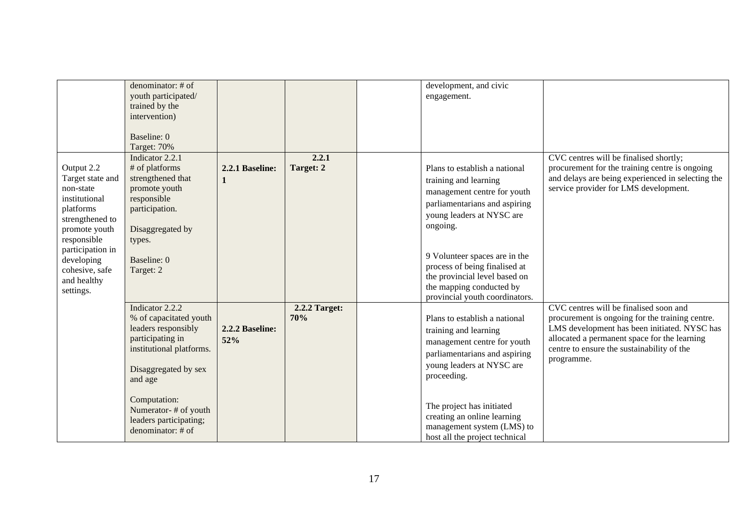|                                                                                                                                                                                                              | denominator: # of<br>youth participated/<br>trained by the<br>intervention)<br>Baseline: 0<br>Target: 70%                                                                                                                                  |                        |                      | development, and civic<br>engagement.                                                                                                                                                                                                                                                                                            |                                                                                                                                                                                                                                                       |
|--------------------------------------------------------------------------------------------------------------------------------------------------------------------------------------------------------------|--------------------------------------------------------------------------------------------------------------------------------------------------------------------------------------------------------------------------------------------|------------------------|----------------------|----------------------------------------------------------------------------------------------------------------------------------------------------------------------------------------------------------------------------------------------------------------------------------------------------------------------------------|-------------------------------------------------------------------------------------------------------------------------------------------------------------------------------------------------------------------------------------------------------|
| Output 2.2<br>Target state and<br>non-state<br>institutional<br>platforms<br>strengthened to<br>promote youth<br>responsible<br>participation in<br>developing<br>cohesive, safe<br>and healthy<br>settings. | Indicator 2.2.1<br># of platforms<br>strengthened that<br>promote youth<br>responsible<br>participation.<br>Disaggregated by<br>types.<br>Baseline: 0<br>Target: 2                                                                         | 2.2.1 Baseline:<br>1   | 2.2.1<br>Target: 2   | Plans to establish a national<br>training and learning<br>management centre for youth<br>parliamentarians and aspiring<br>young leaders at NYSC are<br>ongoing.<br>9 Volunteer spaces are in the<br>process of being finalised at<br>the provincial level based on<br>the mapping conducted by<br>provincial youth coordinators. | CVC centres will be finalised shortly;<br>procurement for the training centre is ongoing<br>and delays are being experienced in selecting the<br>service provider for LMS development.                                                                |
|                                                                                                                                                                                                              | Indicator 2.2.2<br>% of capacitated youth<br>leaders responsibly<br>participating in<br>institutional platforms.<br>Disaggregated by sex<br>and age<br>Computation:<br>Numerator-# of youth<br>leaders participating;<br>denominator: # of | 2.2.2 Baseline:<br>52% | 2.2.2 Target:<br>70% | Plans to establish a national<br>training and learning<br>management centre for youth<br>parliamentarians and aspiring<br>young leaders at NYSC are<br>proceeding.<br>The project has initiated<br>creating an online learning<br>management system (LMS) to<br>host all the project technical                                   | CVC centres will be finalised soon and<br>procurement is ongoing for the training centre.<br>LMS development has been initiated. NYSC has<br>allocated a permanent space for the learning<br>centre to ensure the sustainability of the<br>programme. |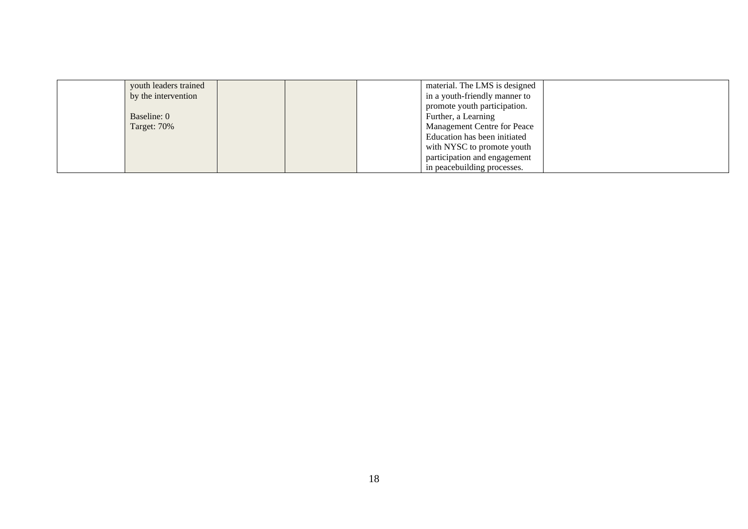| youth leaders trained |  | material. The LMS is designed      |  |
|-----------------------|--|------------------------------------|--|
| by the intervention   |  | in a youth-friendly manner to      |  |
|                       |  | promote youth participation.       |  |
| Baseline: 0           |  | Further, a Learning                |  |
| Target: 70%           |  | <b>Management Centre for Peace</b> |  |
|                       |  | Education has been initiated       |  |
|                       |  | with NYSC to promote youth         |  |
|                       |  | participation and engagement       |  |
|                       |  | in peacebuilding processes.        |  |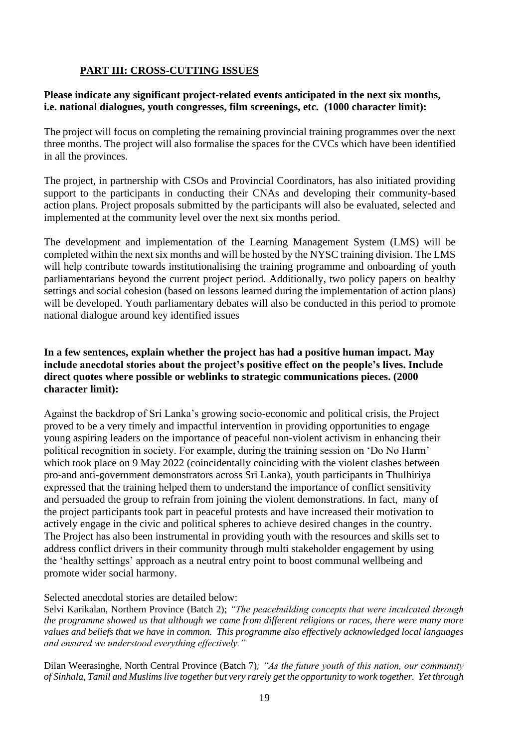## **PART III: CROSS-CUTTING ISSUES**

### **Please indicate any significant project-related events anticipated in the next six months, i.e. national dialogues, youth congresses, film screenings, etc. (1000 character limit):**

The project will focus on completing the remaining provincial training programmes over the next three months. The project will also formalise the spaces for the CVCs which have been identified in all the provinces.

The project, in partnership with CSOs and Provincial Coordinators, has also initiated providing support to the participants in conducting their CNAs and developing their community-based action plans. Project proposals submitted by the participants will also be evaluated, selected and implemented at the community level over the next six months period.

The development and implementation of the Learning Management System (LMS) will be completed within the next six months and will be hosted by the NYSC training division. The LMS will help contribute towards institutionalising the training programme and onboarding of youth parliamentarians beyond the current project period. Additionally, two policy papers on healthy settings and social cohesion (based on lessons learned during the implementation of action plans) will be developed. Youth parliamentary debates will also be conducted in this period to promote national dialogue around key identified issues

## **In a few sentences, explain whether the project has had a positive human impact. May include anecdotal stories about the project's positive effect on the people's lives. Include direct quotes where possible or weblinks to strategic communications pieces. (2000 character limit):**

Against the backdrop of Sri Lanka's growing socio-economic and political crisis, the Project proved to be a very timely and impactful intervention in providing opportunities to engage young aspiring leaders on the importance of peaceful non-violent activism in enhancing their political recognition in society. For example, during the training session on 'Do No Harm' which took place on 9 May 2022 (coincidentally coinciding with the violent clashes between pro-and anti-government demonstrators across Sri Lanka), youth participants in Thulhiriya expressed that the training helped them to understand the importance of conflict sensitivity and persuaded the group to refrain from joining the violent demonstrations. In fact, many of the project participants took part in peaceful protests and have increased their motivation to actively engage in the civic and political spheres to achieve desired changes in the country. The Project has also been instrumental in providing youth with the resources and skills set to address conflict drivers in their community through multi stakeholder engagement by using the 'healthy settings' approach as a neutral entry point to boost communal wellbeing and promote wider social harmony.

### Selected anecdotal stories are detailed below:

Selvi Karikalan, Northern Province (Batch 2); *"The peacebuilding concepts that were inculcated through the programme showed us that although we came from different religions or races, there were many more values and beliefs that we have in common. This programme also effectively acknowledged local languages and ensured we understood everything effectively."*

Dilan Weerasinghe, North Central Province (Batch 7)*; "As the future youth of this nation, our community of Sinhala, Tamil and Muslims live together but very rarely get the opportunity to work together. Yet through*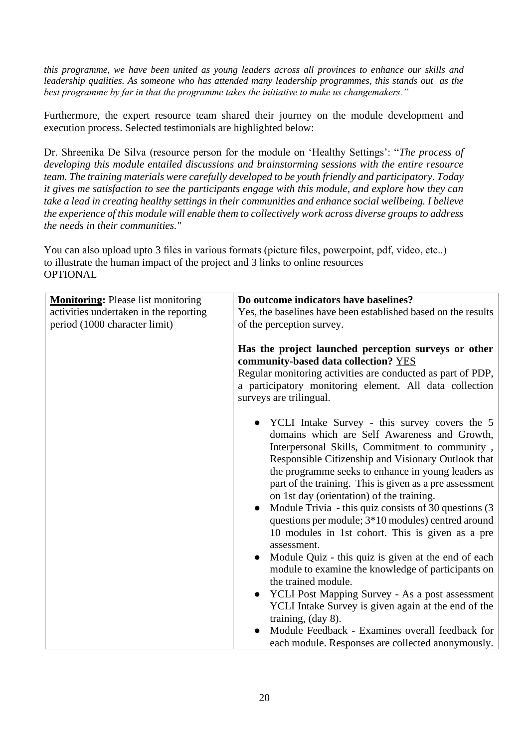*this programme, we have been united as young leaders across all provinces to enhance our skills and leadership qualities. As someone who has attended many leadership programmes, this stands out as the best programme by far in that the programme takes the initiative to make us changemakers."*

Furthermore, the expert resource team shared their journey on the module development and execution process. Selected testimonials are highlighted below:

Dr. Shreenika De Silva (resource person for the module on 'Healthy Settings': "*The process of developing this module entailed discussions and brainstorming sessions with the entire resource team. The training materials were carefully developed to be youth friendly and participatory. Today it gives me satisfaction to see the participants engage with this module, and explore how they can take a lead in creating healthy settings in their communities and enhance social wellbeing. I believe the experience of this module will enable them to collectively work across diverse groups to address the needs in their communities."*

You can also upload upto 3 files in various formats (picture files, powerpoint, pdf, video, etc..) to illustrate the human impact of the project and 3 links to online resources **OPTIONAL** 

| <b>Monitoring:</b> Please list monitoring | Do outcome indicators have baselines?                                                                                                                                                                                                                                                                                                                                                                                                                                                                                                                                                                                                                                                                                                                                                                                                                                                                                                                  |
|-------------------------------------------|--------------------------------------------------------------------------------------------------------------------------------------------------------------------------------------------------------------------------------------------------------------------------------------------------------------------------------------------------------------------------------------------------------------------------------------------------------------------------------------------------------------------------------------------------------------------------------------------------------------------------------------------------------------------------------------------------------------------------------------------------------------------------------------------------------------------------------------------------------------------------------------------------------------------------------------------------------|
| activities undertaken in the reporting    | Yes, the baselines have been established based on the results                                                                                                                                                                                                                                                                                                                                                                                                                                                                                                                                                                                                                                                                                                                                                                                                                                                                                          |
| period (1000 character limit)             | of the perception survey.                                                                                                                                                                                                                                                                                                                                                                                                                                                                                                                                                                                                                                                                                                                                                                                                                                                                                                                              |
|                                           |                                                                                                                                                                                                                                                                                                                                                                                                                                                                                                                                                                                                                                                                                                                                                                                                                                                                                                                                                        |
|                                           | Has the project launched perception surveys or other<br>community-based data collection? YES<br>Regular monitoring activities are conducted as part of PDP,<br>a participatory monitoring element. All data collection<br>surveys are trilingual.                                                                                                                                                                                                                                                                                                                                                                                                                                                                                                                                                                                                                                                                                                      |
|                                           |                                                                                                                                                                                                                                                                                                                                                                                                                                                                                                                                                                                                                                                                                                                                                                                                                                                                                                                                                        |
|                                           | • YCLI Intake Survey - this survey covers the 5<br>domains which are Self Awareness and Growth,<br>Interpersonal Skills, Commitment to community,<br>Responsible Citizenship and Visionary Outlook that<br>the programme seeks to enhance in young leaders as<br>part of the training. This is given as a pre assessment<br>on 1st day (orientation) of the training.<br>Module Trivia - this quiz consists of 30 questions (3)<br>questions per module; 3*10 modules) centred around<br>10 modules in 1st cohort. This is given as a pre<br>assessment.<br>Module Quiz - this quiz is given at the end of each<br>module to examine the knowledge of participants on<br>the trained module.<br><b>YCLI Post Mapping Survey - As a post assessment</b><br>YCLI Intake Survey is given again at the end of the<br>training, $(\text{day } 8)$ .<br>Module Feedback - Examines overall feedback for<br>each module. Responses are collected anonymously. |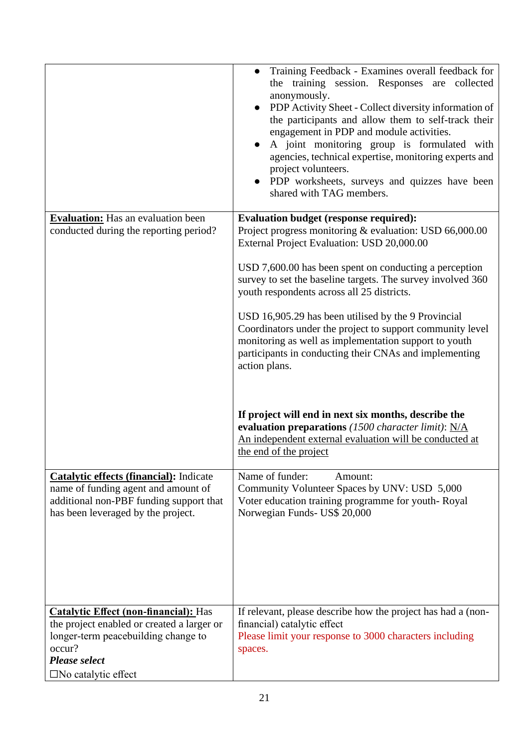|                                                                                                                                                                                                      | Training Feedback - Examines overall feedback for<br>the training session. Responses are collected<br>anonymously.<br>• PDP Activity Sheet - Collect diversity information of<br>the participants and allow them to self-track their<br>engagement in PDP and module activities.<br>A joint monitoring group is formulated with<br>agencies, technical expertise, monitoring experts and<br>project volunteers.<br>• PDP worksheets, surveys and quizzes have been<br>shared with TAG members.                                                                                                                                                                                                         |
|------------------------------------------------------------------------------------------------------------------------------------------------------------------------------------------------------|--------------------------------------------------------------------------------------------------------------------------------------------------------------------------------------------------------------------------------------------------------------------------------------------------------------------------------------------------------------------------------------------------------------------------------------------------------------------------------------------------------------------------------------------------------------------------------------------------------------------------------------------------------------------------------------------------------|
| <b>Evaluation:</b> Has an evaluation been<br>conducted during the reporting period?                                                                                                                  | <b>Evaluation budget (response required):</b><br>Project progress monitoring & evaluation: USD 66,000.00<br>External Project Evaluation: USD 20,000.00<br>USD 7,600.00 has been spent on conducting a perception<br>survey to set the baseline targets. The survey involved 360<br>youth respondents across all 25 districts.<br>USD 16,905.29 has been utilised by the 9 Provincial<br>Coordinators under the project to support community level<br>monitoring as well as implementation support to youth<br>participants in conducting their CNAs and implementing<br>action plans.<br>If project will end in next six months, describe the<br>evaluation preparations (1500 character limit): $N/A$ |
|                                                                                                                                                                                                      | An independent external evaluation will be conducted at<br>the end of the project                                                                                                                                                                                                                                                                                                                                                                                                                                                                                                                                                                                                                      |
| <b>Catalytic effects (financial):</b> Indicate<br>name of funding agent and amount of<br>additional non-PBF funding support that<br>has been leveraged by the project.                               | Name of funder:<br>Amount:<br>Community Volunteer Spaces by UNV: USD 5,000<br>Voter education training programme for youth-Royal<br>Norwegian Funds- US\$ 20,000                                                                                                                                                                                                                                                                                                                                                                                                                                                                                                                                       |
| <b>Catalytic Effect (non-financial):</b> Has<br>the project enabled or created a larger or<br>longer-term peacebuilding change to<br>occur?<br><b>Please select</b><br>$\square$ No catalytic effect | If relevant, please describe how the project has had a (non-<br>financial) catalytic effect<br>Please limit your response to 3000 characters including<br>spaces.                                                                                                                                                                                                                                                                                                                                                                                                                                                                                                                                      |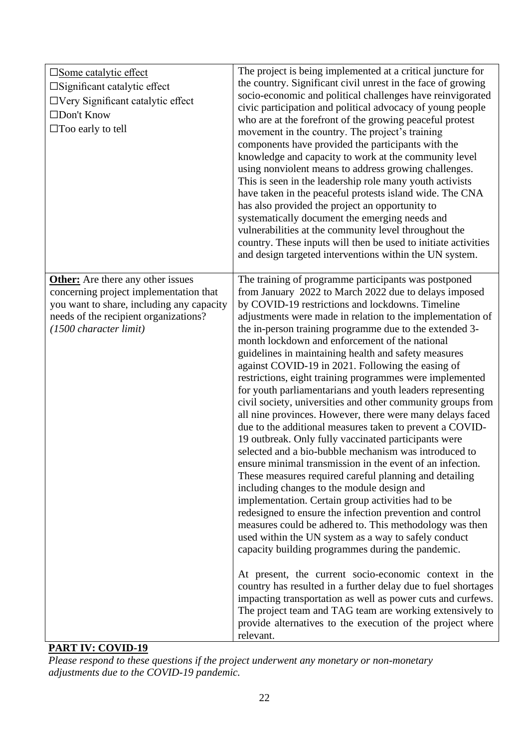| $\square$ Some catalytic effect<br>$\square$ Significant catalytic effect<br>$\Box$ Very Significant catalytic effect<br>□Don't Know<br>$\Box$ Too early to tell                                   | The project is being implemented at a critical juncture for<br>the country. Significant civil unrest in the face of growing<br>socio-economic and political challenges have reinvigorated<br>civic participation and political advocacy of young people<br>who are at the forefront of the growing peaceful protest<br>movement in the country. The project's training<br>components have provided the participants with the<br>knowledge and capacity to work at the community level<br>using nonviolent means to address growing challenges.<br>This is seen in the leadership role many youth activists<br>have taken in the peaceful protests island wide. The CNA<br>has also provided the project an opportunity to<br>systematically document the emerging needs and                                                                                                                                                                                                                                                                                                                                                                                                                                                                                                                                                                                                                                                                                                                                                                                                                                                                                                                 |
|----------------------------------------------------------------------------------------------------------------------------------------------------------------------------------------------------|---------------------------------------------------------------------------------------------------------------------------------------------------------------------------------------------------------------------------------------------------------------------------------------------------------------------------------------------------------------------------------------------------------------------------------------------------------------------------------------------------------------------------------------------------------------------------------------------------------------------------------------------------------------------------------------------------------------------------------------------------------------------------------------------------------------------------------------------------------------------------------------------------------------------------------------------------------------------------------------------------------------------------------------------------------------------------------------------------------------------------------------------------------------------------------------------------------------------------------------------------------------------------------------------------------------------------------------------------------------------------------------------------------------------------------------------------------------------------------------------------------------------------------------------------------------------------------------------------------------------------------------------------------------------------------------------|
|                                                                                                                                                                                                    | vulnerabilities at the community level throughout the<br>country. These inputs will then be used to initiate activities<br>and design targeted interventions within the UN system.                                                                                                                                                                                                                                                                                                                                                                                                                                                                                                                                                                                                                                                                                                                                                                                                                                                                                                                                                                                                                                                                                                                                                                                                                                                                                                                                                                                                                                                                                                          |
| <b>Other:</b> Are there any other issues<br>concerning project implementation that<br>you want to share, including any capacity<br>needs of the recipient organizations?<br>(1500 character limit) | The training of programme participants was postponed<br>from January 2022 to March 2022 due to delays imposed<br>by COVID-19 restrictions and lockdowns. Timeline<br>adjustments were made in relation to the implementation of<br>the in-person training programme due to the extended 3-<br>month lockdown and enforcement of the national<br>guidelines in maintaining health and safety measures<br>against COVID-19 in 2021. Following the easing of<br>restrictions, eight training programmes were implemented<br>for youth parliamentarians and youth leaders representing<br>civil society, universities and other community groups from<br>all nine provinces. However, there were many delays faced<br>due to the additional measures taken to prevent a COVID-<br>19 outbreak. Only fully vaccinated participants were<br>selected and a bio-bubble mechanism was introduced to<br>ensure minimal transmission in the event of an infection.<br>These measures required careful planning and detailing<br>including changes to the module design and<br>implementation. Certain group activities had to be<br>redesigned to ensure the infection prevention and control<br>measures could be adhered to. This methodology was then<br>used within the UN system as a way to safely conduct<br>capacity building programmes during the pandemic.<br>At present, the current socio-economic context in the<br>country has resulted in a further delay due to fuel shortages<br>impacting transportation as well as power cuts and curfews.<br>The project team and TAG team are working extensively to<br>provide alternatives to the execution of the project where<br>relevant. |

## **PART IV: COVID-19**

*Please respond to these questions if the project underwent any monetary or non-monetary adjustments due to the COVID-19 pandemic.*